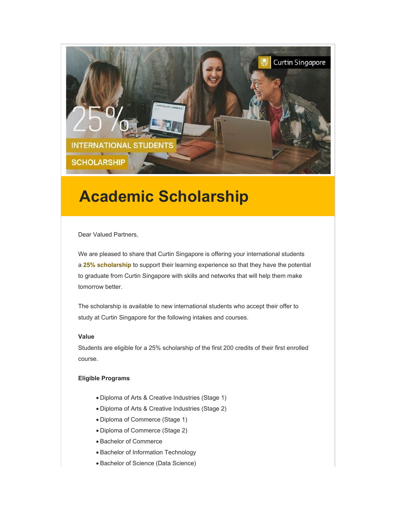

# **Academic Scholarship**

Dear Valued Partners,

We are pleased to share that Curtin Singapore is offering your international students a **25% scholarship** to support their learning experience so that they have the potential to graduate from Curtin Singapore with skills and networks that will help them make tomorrow better.

The scholarship is available to new international students who accept their offer to study at Curtin Singapore for the following intakes and courses.

## **Value**

Students are eligible for a 25% scholarship of the first 200 credits of their first enrolled course.

#### **Eligible Programs**

- Diploma of Arts & Creative Industries (Stage 1)
- Diploma of Arts & Creative Industries (Stage 2)
- Diploma of Commerce (Stage 1)
- Diploma of Commerce (Stage 2)
- Bachelor of Commerce
- Bachelor of Information Technology
- Bachelor of Science (Data Science)